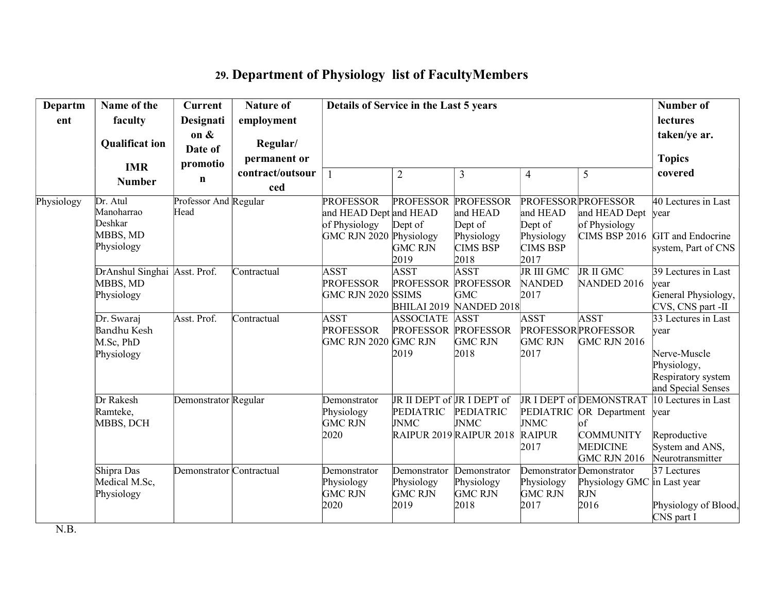## 29. Department of Physiology list of FacultyMembers

| Departm    | Name of the                                                 | <b>Current</b>                | <b>Nature of</b>                | Details of Service in the Last 5 years                                                 |                                                               |                                                                                  | Number of                                                    |                                                                                                                              |                                                                                                        |
|------------|-------------------------------------------------------------|-------------------------------|---------------------------------|----------------------------------------------------------------------------------------|---------------------------------------------------------------|----------------------------------------------------------------------------------|--------------------------------------------------------------|------------------------------------------------------------------------------------------------------------------------------|--------------------------------------------------------------------------------------------------------|
| ent        | faculty                                                     | Designati                     | employment                      |                                                                                        |                                                               |                                                                                  | lectures                                                     |                                                                                                                              |                                                                                                        |
|            | <b>Qualificat ion</b><br><b>IMR</b>                         | on &<br>Date of<br>promotio   | Regular/<br>permanent or        |                                                                                        |                                                               |                                                                                  |                                                              |                                                                                                                              | taken/ye ar.<br><b>Topics</b>                                                                          |
|            | <b>Number</b>                                               | $\mathbf n$                   | contract/outsour<br>ced         | $\mathbf{1}$                                                                           | $\overline{2}$                                                | 3                                                                                | $\overline{\mathbf{4}}$                                      | 5                                                                                                                            | covered                                                                                                |
| Physiology | Dr. Atul<br>Manoharrao<br>Deshkar<br>MBBS, MD<br>Physiology | Professor And Regular<br>Head |                                 | <b>PROFESSOR</b><br>and HEAD Dept and HEAD<br>of Physiology<br>GMC RJN 2020 Physiology | <b>PROFESSOR</b><br>Dept of<br><b>GMC RJN</b><br>2019         | <b>PROFESSOR</b><br>and HEAD<br>Dept of<br>Physiology<br><b>CIMS BSP</b><br>2018 | and HEAD<br>Dept of<br>Physiology<br><b>CIMS BSP</b><br>2017 | <b>PROFESSOR PROFESSOR</b><br>and HEAD Dept<br>of Physiology<br><b>CIMS BSP 2016</b>                                         | 40 Lectures in Last<br>year<br>GIT and Endocrine<br>system, Part of CNS                                |
|            | DrAnshul Singhai<br>MBBS, MD<br>Physiology                  | Asst. Prof.                   | Contractual                     | <b>ASST</b><br><b>PROFESSOR</b><br>GMC RJN 2020 SSIMS                                  | <b>ASST</b><br><b>PROFESSOR</b>                               | <b>ASST</b><br><b>PROFESSOR</b><br><b>GMC</b><br>BHILAI 2019 NANDED 2018         | JR III GMC<br><b>NANDED</b><br>2017                          | JR II GMC<br>NANDED 2016                                                                                                     | $\overline{39}$ Lectures in Last<br>vear<br>General Physiology,<br>CVS, CNS part -II                   |
|            | Dr. Swaraj<br>Bandhu Kesh<br>M.Sc, PhD<br>Physiology        | Asst. Prof.                   | $\overline{\text{Contractual}}$ | <b>ASST</b><br><b>PROFESSOR</b><br>GMC RJN 2020 GMC RJN                                | <b>ASSOCIATE</b><br><b>PROFESSOR PROFESSOR</b><br>2019        | <b>ASST</b><br><b>GMC RJN</b><br>2018                                            | <b>ASST</b><br><b>GMC RJN</b><br>2017                        | <b>ASST</b><br><b>PROFESSOR PROFESSOR</b><br><b>GMC RJN 2016</b>                                                             | 33 Lectures in Last<br>vear<br>Nerve-Muscle<br>Physiology,<br>Respiratory system<br>and Special Senses |
|            | Dr Rakesh<br>Ramteke,<br>MBBS, DCH                          | Demonstrator Regular          |                                 | Demonstrator<br>Physiology<br><b>GMC RJN</b><br>2020                                   | JR II DEPT of JR I DEPT of<br><b>PEDIATRIC</b><br><b>JNMC</b> | <b>PEDIATRIC</b><br><b>JNMC</b><br>RAIPUR 2019 RAIPUR 2018                       | <b>JNMC</b><br><b>RAIPUR</b><br>2017                         | <b>JRI DEPT of DEMONSTRAT</b><br>PEDIATRIC OR Department<br>of<br><b>COMMUNITY</b><br><b>MEDICINE</b><br><b>GMC RJN 2016</b> | 10 Lectures in Last<br>year<br>Reproductive<br>System and ANS,<br>Neurotransmitter                     |
|            | Shipra Das<br>Medical M.Sc,<br>Physiology                   | Demonstrator Contractual      |                                 | Demonstrator<br>Physiology<br><b>GMC RJN</b><br>2020                                   | Demonstrator<br>Physiology<br><b>GMC RJN</b><br>2019          | Demonstrator<br>Physiology<br><b>GMC RJN</b><br>2018                             | Physiology<br><b>GMC RJN</b><br>2017                         | Demonstrator Demonstrator<br>Physiology GMC in Last year<br><b>RJN</b><br>2016                                               | 37 Lectures<br>Physiology of Blood,<br>CNS part I                                                      |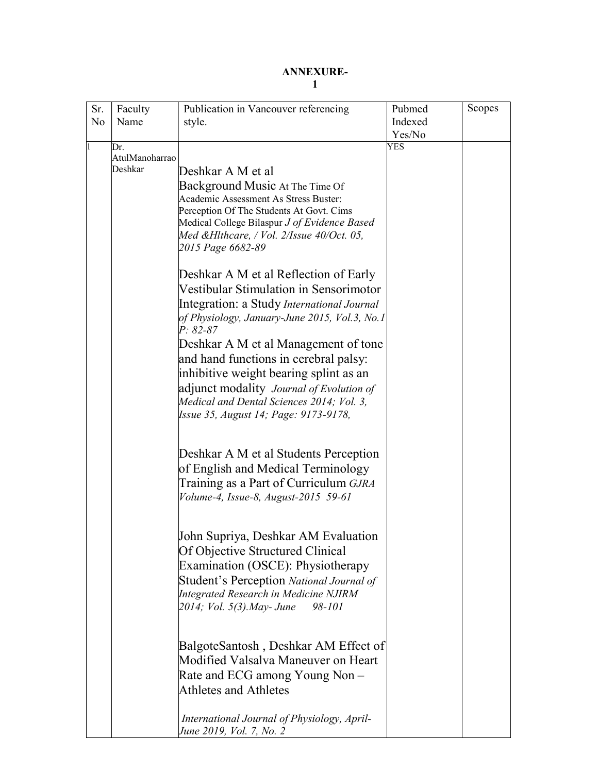## ANNEXURE-1

| Sr. | Faculty                   | Publication in Vancouver referencing                                                      | Pubmed  | Scopes |
|-----|---------------------------|-------------------------------------------------------------------------------------------|---------|--------|
| No  | Name                      | style.                                                                                    | Indexed |        |
|     |                           |                                                                                           | Yes/No  |        |
| I1  | Dr.                       |                                                                                           | YES     |        |
|     | AtulManoharrao<br>Deshkar |                                                                                           |         |        |
|     |                           | Deshkar A M et al                                                                         |         |        |
|     |                           | Background Music At The Time Of                                                           |         |        |
|     |                           | Academic Assessment As Stress Buster:                                                     |         |        |
|     |                           | Perception Of The Students At Govt. Cims                                                  |         |        |
|     |                           | Medical College Bilaspur J of Evidence Based<br>Med &Hlthcare, / Vol. 2/Issue 40/Oct. 05, |         |        |
|     |                           | 2015 Page 6682-89                                                                         |         |        |
|     |                           |                                                                                           |         |        |
|     |                           | Deshkar A M et al Reflection of Early                                                     |         |        |
|     |                           | Vestibular Stimulation in Sensorimotor                                                    |         |        |
|     |                           | Integration: a Study International Journal                                                |         |        |
|     |                           | of Physiology, January-June 2015, Vol.3, No.1<br>$P: 82-87$                               |         |        |
|     |                           | Deshkar A M et al Management of tone                                                      |         |        |
|     |                           | and hand functions in cerebral palsy:                                                     |         |        |
|     |                           | inhibitive weight bearing splint as an                                                    |         |        |
|     |                           | adjunct modality Journal of Evolution of                                                  |         |        |
|     |                           | Medical and Dental Sciences 2014; Vol. 3,                                                 |         |        |
|     |                           | Issue 35, August 14; Page: 9173-9178,                                                     |         |        |
|     |                           |                                                                                           |         |        |
|     |                           | Deshkar A M et al Students Perception                                                     |         |        |
|     |                           | of English and Medical Terminology                                                        |         |        |
|     |                           |                                                                                           |         |        |
|     |                           | Training as a Part of Curriculum GJRA<br>Volume-4, Issue-8, August-2015 59-61             |         |        |
|     |                           |                                                                                           |         |        |
|     |                           | John Supriya, Deshkar AM Evaluation                                                       |         |        |
|     |                           | Of Objective Structured Clinical                                                          |         |        |
|     |                           | Examination (OSCE): Physiotherapy                                                         |         |        |
|     |                           | Student's Perception National Journal of                                                  |         |        |
|     |                           | <b>Integrated Research in Medicine NJIRM</b>                                              |         |        |
|     |                           | 2014; Vol. 5(3).May- June<br>98-101                                                       |         |        |
|     |                           |                                                                                           |         |        |
|     |                           | BalgoteSantosh, Deshkar AM Effect of                                                      |         |        |
|     |                           | Modified Valsalva Maneuver on Heart                                                       |         |        |
|     |                           | Rate and ECG among Young Non –                                                            |         |        |
|     |                           | <b>Athletes and Athletes</b>                                                              |         |        |
|     |                           | International Journal of Physiology, April-                                               |         |        |
|     |                           | June 2019, Vol. 7, No. 2                                                                  |         |        |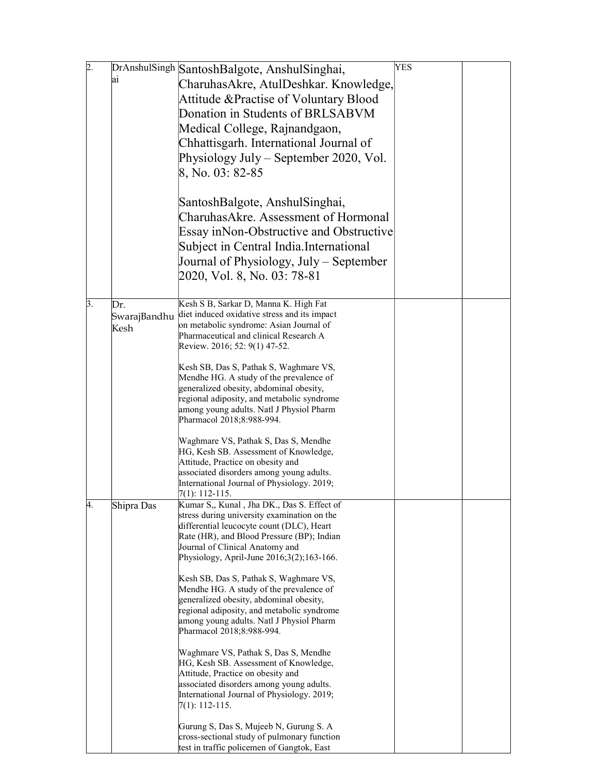| þ.        |              |                                                                                           | YES |  |
|-----------|--------------|-------------------------------------------------------------------------------------------|-----|--|
|           | lai          | DrAnshulSingh SantoshBalgote, AnshulSinghai,                                              |     |  |
|           |              | CharuhasAkre, AtulDeshkar. Knowledge,                                                     |     |  |
|           |              | Attitude & Practise of Voluntary Blood                                                    |     |  |
|           |              | Donation in Students of BRLSABVM                                                          |     |  |
|           |              | Medical College, Rajnandgaon,                                                             |     |  |
|           |              | Chhattisgarh. International Journal of                                                    |     |  |
|           |              | Physiology July – September 2020, Vol.                                                    |     |  |
|           |              |                                                                                           |     |  |
|           |              | 8, No. 03: 82-85                                                                          |     |  |
|           |              |                                                                                           |     |  |
|           |              | SantoshBalgote, AnshulSinghai,                                                            |     |  |
|           |              | CharuhasAkre. Assessment of Hormonal                                                      |     |  |
|           |              | Essay inNon-Obstructive and Obstructive                                                   |     |  |
|           |              | Subject in Central India. International                                                   |     |  |
|           |              | Journal of Physiology, July – September                                                   |     |  |
|           |              | 2020, Vol. 8, No. 03: 78-81                                                               |     |  |
|           |              |                                                                                           |     |  |
| $\beta$ . | Dr.          | Kesh S B, Sarkar D, Manna K. High Fat                                                     |     |  |
|           | SwarajBandhu | diet induced oxidative stress and its impact                                              |     |  |
|           | Kesh         | on metabolic syndrome: Asian Journal of                                                   |     |  |
|           |              | Pharmaceutical and clinical Research A                                                    |     |  |
|           |              | Review. 2016; 52: 9(1) 47-52.                                                             |     |  |
|           |              | Kesh SB, Das S, Pathak S, Waghmare VS,                                                    |     |  |
|           |              | Mendhe HG. A study of the prevalence of                                                   |     |  |
|           |              | generalized obesity, abdominal obesity,                                                   |     |  |
|           |              | regional adiposity, and metabolic syndrome<br>among young adults. Natl J Physiol Pharm    |     |  |
|           |              | Pharmacol 2018;8:988-994.                                                                 |     |  |
|           |              |                                                                                           |     |  |
|           |              | Waghmare VS, Pathak S, Das S, Mendhe                                                      |     |  |
|           |              | HG, Kesh SB. Assessment of Knowledge,<br>Attitude, Practice on obesity and                |     |  |
|           |              | associated disorders among young adults.                                                  |     |  |
|           |              | International Journal of Physiology. 2019;                                                |     |  |
|           |              | 7(1): 112-115.                                                                            |     |  |
| 4.        | Shipra Das   | Kumar S., Kunal, Jha DK., Das S. Effect of<br>stress during university examination on the |     |  |
|           |              | differential leucocyte count (DLC), Heart                                                 |     |  |
|           |              | Rate (HR), and Blood Pressure (BP); Indian                                                |     |  |
|           |              | Journal of Clinical Anatomy and                                                           |     |  |
|           |              | Physiology, April-June 2016;3(2);163-166.                                                 |     |  |
|           |              | Kesh SB, Das S, Pathak S, Waghmare VS,                                                    |     |  |
|           |              | Mendhe HG. A study of the prevalence of                                                   |     |  |
|           |              | generalized obesity, abdominal obesity,                                                   |     |  |
|           |              | regional adiposity, and metabolic syndrome<br>among young adults. Natl J Physiol Pharm    |     |  |
|           |              | Pharmacol 2018;8:988-994.                                                                 |     |  |
|           |              |                                                                                           |     |  |
|           |              | Waghmare VS, Pathak S, Das S, Mendhe                                                      |     |  |
|           |              | HG, Kesh SB. Assessment of Knowledge,<br>Attitude, Practice on obesity and                |     |  |
|           |              | associated disorders among young adults.                                                  |     |  |
|           |              | International Journal of Physiology. 2019;                                                |     |  |
|           |              | 7(1): 112-115.                                                                            |     |  |
|           |              | Gurung S, Das S, Mujeeb N, Gurung S. A                                                    |     |  |
|           |              | cross-sectional study of pulmonary function                                               |     |  |
|           |              | test in traffic policemen of Gangtok, East                                                |     |  |